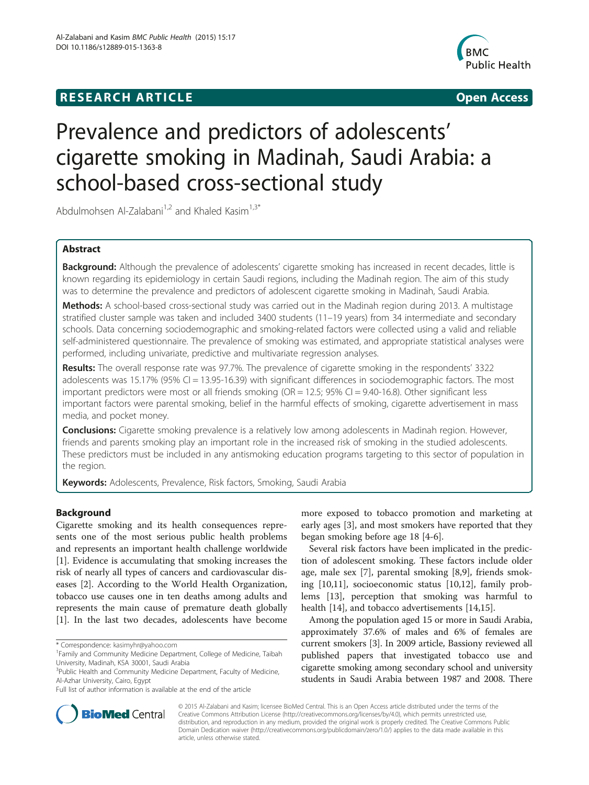# **RESEARCH ARTICLE Example 2014 CONSIDERING CONSIDERING CONSIDERING CONSIDERING CONSIDERING CONSIDERING CONSIDERING CONSIDERING CONSIDERING CONSIDERING CONSIDERING CONSIDERING CONSIDERING CONSIDERING CONSIDERING CONSIDE**



# Prevalence and predictors of adolescents' cigarette smoking in Madinah, Saudi Arabia: a school-based cross-sectional study

Abdulmohsen Al-Zalabani<sup>1,2</sup> and Khaled Kasim<sup>1,3\*</sup>

# Abstract

Background: Although the prevalence of adolescents' cigarette smoking has increased in recent decades, little is known regarding its epidemiology in certain Saudi regions, including the Madinah region. The aim of this study was to determine the prevalence and predictors of adolescent cigarette smoking in Madinah, Saudi Arabia.

Methods: A school-based cross-sectional study was carried out in the Madinah region during 2013. A multistage stratified cluster sample was taken and included 3400 students (11–19 years) from 34 intermediate and secondary schools. Data concerning sociodemographic and smoking-related factors were collected using a valid and reliable self-administered questionnaire. The prevalence of smoking was estimated, and appropriate statistical analyses were performed, including univariate, predictive and multivariate regression analyses.

Results: The overall response rate was 97.7%. The prevalence of cigarette smoking in the respondents' 3322 adolescents was 15.17% (95% CI = 13.95-16.39) with significant differences in sociodemographic factors. The most important predictors were most or all friends smoking ( $OR = 12.5$ ;  $95\%$  CI = 9.40-16.8). Other significant less important factors were parental smoking, belief in the harmful effects of smoking, cigarette advertisement in mass media, and pocket money.

**Conclusions:** Cigarette smoking prevalence is a relatively low among adolescents in Madinah region. However, friends and parents smoking play an important role in the increased risk of smoking in the studied adolescents. These predictors must be included in any antismoking education programs targeting to this sector of population in the region.

Keywords: Adolescents, Prevalence, Risk factors, Smoking, Saudi Arabia

# Background

Cigarette smoking and its health consequences represents one of the most serious public health problems and represents an important health challenge worldwide [[1\]](#page-5-0). Evidence is accumulating that smoking increases the risk of nearly all types of cancers and cardiovascular diseases [[2](#page-5-0)]. According to the World Health Organization, tobacco use causes one in ten deaths among adults and represents the main cause of premature death globally [[1\]](#page-5-0). In the last two decades, adolescents have become

more exposed to tobacco promotion and marketing at early ages [[3\]](#page-5-0), and most smokers have reported that they began smoking before age 18 [\[4](#page-5-0)-[6\]](#page-5-0).

Several risk factors have been implicated in the prediction of adolescent smoking. These factors include older age, male sex [[7](#page-5-0)], parental smoking [\[8,9](#page-6-0)], friends smoking [\[10,11](#page-6-0)], socioeconomic status [\[10,12](#page-6-0)], family problems [\[13](#page-6-0)], perception that smoking was harmful to health [[14\]](#page-6-0), and tobacco advertisements [[14,15\]](#page-6-0).

Among the population aged 15 or more in Saudi Arabia, approximately 37.6% of males and 6% of females are current smokers [[3](#page-5-0)]. In 2009 article, Bassiony reviewed all published papers that investigated tobacco use and cigarette smoking among secondary school and university students in Saudi Arabia between 1987 and 2008. There



© 2015 Al-Zalabani and Kasim; licensee BioMed Central. This is an Open Access article distributed under the terms of the Creative Commons Attribution License (<http://creativecommons.org/licenses/by/4.0>), which permits unrestricted use, distribution, and reproduction in any medium, provided the original work is properly credited. The Creative Commons Public Domain Dedication waiver [\(http://creativecommons.org/publicdomain/zero/1.0/\)](http://creativecommons.org/publicdomain/zero/1.0/) applies to the data made available in this article, unless otherwise stated.

<sup>\*</sup> Correspondence: [kasimyhr@yahoo.com](mailto:kasimyhr@yahoo.com) <sup>1</sup>

<sup>&</sup>lt;sup>1</sup> Family and Community Medicine Department, College of Medicine, Taibah University, Madinah, KSA 30001, Saudi Arabia

<sup>&</sup>lt;sup>3</sup>Public Health and Community Medicine Department, Faculty of Medicine, Al-Azhar University, Cairo, Egypt

Full list of author information is available at the end of the article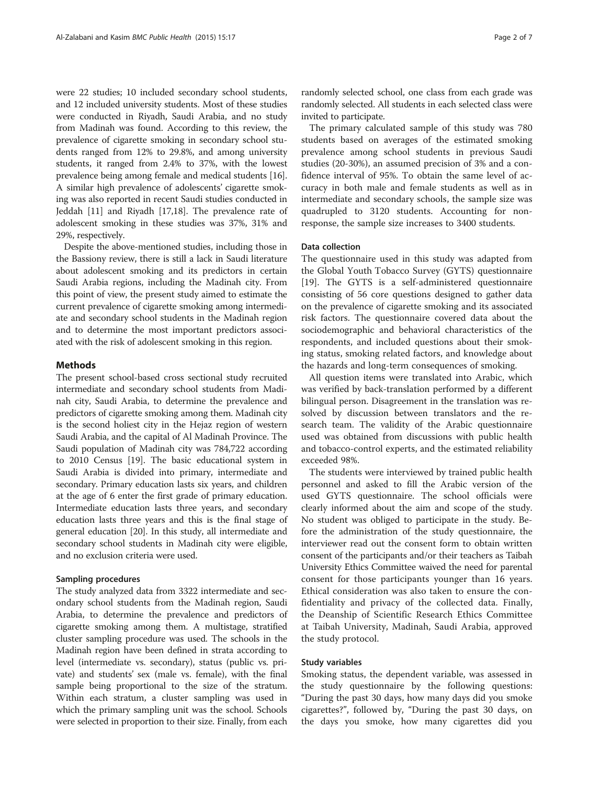were 22 studies; 10 included secondary school students, and 12 included university students. Most of these studies were conducted in Riyadh, Saudi Arabia, and no study from Madinah was found. According to this review, the prevalence of cigarette smoking in secondary school students ranged from 12% to 29.8%, and among university students, it ranged from 2.4% to 37%, with the lowest prevalence being among female and medical students [[16](#page-6-0)]. A similar high prevalence of adolescents' cigarette smoking was also reported in recent Saudi studies conducted in Jeddah [[11](#page-6-0)] and Riyadh [[17,18\]](#page-6-0). The prevalence rate of adolescent smoking in these studies was 37%, 31% and 29%, respectively.

Despite the above-mentioned studies, including those in the Bassiony review, there is still a lack in Saudi literature about adolescent smoking and its predictors in certain Saudi Arabia regions, including the Madinah city. From this point of view, the present study aimed to estimate the current prevalence of cigarette smoking among intermediate and secondary school students in the Madinah region and to determine the most important predictors associated with the risk of adolescent smoking in this region.

#### Methods

The present school-based cross sectional study recruited intermediate and secondary school students from Madinah city, Saudi Arabia, to determine the prevalence and predictors of cigarette smoking among them. Madinah city is the second holiest city in the Hejaz region of western Saudi Arabia, and the capital of Al Madinah Province. The Saudi population of Madinah city was 784,722 according to 2010 Census [\[19\]](#page-6-0). The basic educational system in Saudi Arabia is divided into primary, intermediate and secondary. Primary education lasts six years, and children at the age of 6 enter the first grade of primary education. Intermediate education lasts three years, and secondary education lasts three years and this is the final stage of general education [[20](#page-6-0)]. In this study, all intermediate and secondary school students in Madinah city were eligible, and no exclusion criteria were used.

# Sampling procedures

The study analyzed data from 3322 intermediate and secondary school students from the Madinah region, Saudi Arabia, to determine the prevalence and predictors of cigarette smoking among them. A multistage, stratified cluster sampling procedure was used. The schools in the Madinah region have been defined in strata according to level (intermediate vs. secondary), status (public vs. private) and students' sex (male vs. female), with the final sample being proportional to the size of the stratum. Within each stratum, a cluster sampling was used in which the primary sampling unit was the school. Schools were selected in proportion to their size. Finally, from each

randomly selected school, one class from each grade was randomly selected. All students in each selected class were invited to participate.

The primary calculated sample of this study was 780 students based on averages of the estimated smoking prevalence among school students in previous Saudi studies (20-30%), an assumed precision of 3% and a confidence interval of 95%. To obtain the same level of accuracy in both male and female students as well as in intermediate and secondary schools, the sample size was quadrupled to 3120 students. Accounting for nonresponse, the sample size increases to 3400 students.

#### Data collection

The questionnaire used in this study was adapted from the Global Youth Tobacco Survey (GYTS) questionnaire [[19\]](#page-6-0). The GYTS is a self-administered questionnaire consisting of 56 core questions designed to gather data on the prevalence of cigarette smoking and its associated risk factors. The questionnaire covered data about the sociodemographic and behavioral characteristics of the respondents, and included questions about their smoking status, smoking related factors, and knowledge about the hazards and long-term consequences of smoking.

All question items were translated into Arabic, which was verified by back-translation performed by a different bilingual person. Disagreement in the translation was resolved by discussion between translators and the research team. The validity of the Arabic questionnaire used was obtained from discussions with public health and tobacco-control experts, and the estimated reliability exceeded 98%.

The students were interviewed by trained public health personnel and asked to fill the Arabic version of the used GYTS questionnaire. The school officials were clearly informed about the aim and scope of the study. No student was obliged to participate in the study. Before the administration of the study questionnaire, the interviewer read out the consent form to obtain written consent of the participants and/or their teachers as Taibah University Ethics Committee waived the need for parental consent for those participants younger than 16 years. Ethical consideration was also taken to ensure the confidentiality and privacy of the collected data. Finally, the Deanship of Scientific Research Ethics Committee at Taibah University, Madinah, Saudi Arabia, approved the study protocol.

#### Study variables

Smoking status, the dependent variable, was assessed in the study questionnaire by the following questions: "During the past 30 days, how many days did you smoke cigarettes?", followed by, "During the past 30 days, on the days you smoke, how many cigarettes did you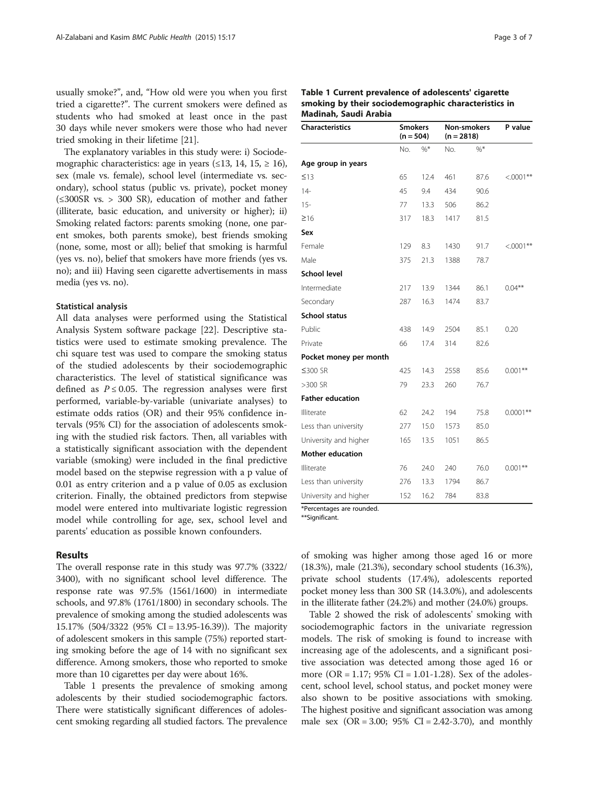usually smoke?", and, "How old were you when you first tried a cigarette?". The current smokers were defined as students who had smoked at least once in the past 30 days while never smokers were those who had never tried smoking in their lifetime [\[21\]](#page-6-0).

The explanatory variables in this study were: i) Sociodemographic characteristics: age in years  $(\leq 13, 14, 15, \geq 16)$ , sex (male vs. female), school level (intermediate vs. secondary), school status (public vs. private), pocket money (≤300SR vs. > 300 SR), education of mother and father (illiterate, basic education, and university or higher); ii) Smoking related factors: parents smoking (none, one parent smokes, both parents smoke), best friends smoking (none, some, most or all); belief that smoking is harmful (yes vs. no), belief that smokers have more friends (yes vs. no); and iii) Having seen cigarette advertisements in mass media (yes vs. no).

# Statistical analysis

All data analyses were performed using the Statistical Analysis System software package [\[22](#page-6-0)]. Descriptive statistics were used to estimate smoking prevalence. The chi square test was used to compare the smoking status of the studied adolescents by their sociodemographic characteristics. The level of statistical significance was defined as  $P \le 0.05$ . The regression analyses were first performed, variable-by-variable (univariate analyses) to estimate odds ratios (OR) and their 95% confidence intervals (95% CI) for the association of adolescents smoking with the studied risk factors. Then, all variables with a statistically significant association with the dependent variable (smoking) were included in the final predictive model based on the stepwise regression with a p value of 0.01 as entry criterion and a p value of 0.05 as exclusion criterion. Finally, the obtained predictors from stepwise model were entered into multivariate logistic regression model while controlling for age, sex, school level and parents' education as possible known confounders.

# Results

The overall response rate in this study was 97.7% (3322/ 3400), with no significant school level difference. The response rate was 97.5% (1561/1600) in intermediate schools, and 97.8% (1761/1800) in secondary schools. The prevalence of smoking among the studied adolescents was 15.17% (504/3322 (95% CI = 13.95-16.39)). The majority of adolescent smokers in this sample (75%) reported starting smoking before the age of 14 with no significant sex difference. Among smokers, those who reported to smoke more than 10 cigarettes per day were about 16%.

Table 1 presents the prevalence of smoking among adolescents by their studied sociodemographic factors. There were statistically significant differences of adolescent smoking regarding all studied factors. The prevalence

| Table 1 Current prevalence of adolescents' cigarette |
|------------------------------------------------------|
| smoking by their sociodemographic characteristics in |
| Madinah, Saudi Arabia                                |

| <b>Characteristics</b>  | <b>Smokers</b><br>$(n = 504)$ |       | <b>Non-smokers</b><br>$(n = 2818)$ |        | P value     |
|-------------------------|-------------------------------|-------|------------------------------------|--------|-------------|
|                         | No.                           | $%$ * | No.                                | $\%^*$ |             |
| Age group in years      |                               |       |                                    |        |             |
| $\leq$ 13               | 65                            | 12.4  | 461                                | 87.6   | $<.0001**$  |
| $14-$                   | 45                            | 9.4   | 434                                | 90.6   |             |
| $15 -$                  | 77                            | 13.3  | 506                                | 86.2   |             |
| $\geq 16$               | 317                           | 18.3  | 1417                               | 81.5   |             |
| Sex                     |                               |       |                                    |        |             |
| Female                  | 129                           | 8.3   | 1430                               | 91.7   | $<.0001**$  |
| Male                    | 375                           | 21.3  | 1388                               | 78.7   |             |
| <b>School level</b>     |                               |       |                                    |        |             |
| Intermediate            | 217                           | 13.9  | 1344                               | 86.1   | $0.04**$    |
| Secondary               | 287                           | 16.3  | 1474                               | 83.7   |             |
| <b>School status</b>    |                               |       |                                    |        |             |
| Public                  | 438                           | 14.9  | 2504                               | 85.1   | 0.20        |
| Private                 | 66                            | 17.4  | 314                                | 82.6   |             |
| Pocket money per month  |                               |       |                                    |        |             |
| ≤300 SR                 | 425                           | 14.3  | 2558                               | 85.6   | $0.001**$   |
| >300 SR                 | 79                            | 23.3  | 260                                | 76.7   |             |
| <b>Father education</b> |                               |       |                                    |        |             |
| Illiterate              | 62                            | 24.2  | 194                                | 75.8   | $0.0001$ ** |
| Less than university    | 277                           | 15.0  | 1573                               | 85.0   |             |
| University and higher   | 165                           | 13.5  | 1051                               | 86.5   |             |
| <b>Mother education</b> |                               |       |                                    |        |             |
| Illiterate              | 76                            | 24.0  | 240                                | 76.0   | $0.001**$   |
| Less than university    | 276                           | 13.3  | 1794                               | 86.7   |             |
| University and higher   | 152                           | 16.2  | 784                                | 83.8   |             |

\*Percentages are rounded.

\*\*Significant.

of smoking was higher among those aged 16 or more (18.3%), male (21.3%), secondary school students (16.3%), private school students (17.4%), adolescents reported pocket money less than 300 SR (14.3.0%), and adolescents in the illiterate father (24.2%) and mother (24.0%) groups.

Table [2](#page-3-0) showed the risk of adolescents' smoking with sociodemographic factors in the univariate regression models. The risk of smoking is found to increase with increasing age of the adolescents, and a significant positive association was detected among those aged 16 or more (OR = 1.17;  $95\%$  CI = 1.01-1.28). Sex of the adolescent, school level, school status, and pocket money were also shown to be positive associations with smoking. The highest positive and significant association was among male sex  $(OR = 3.00; 95\% CI = 2.42-3.70)$ , and monthly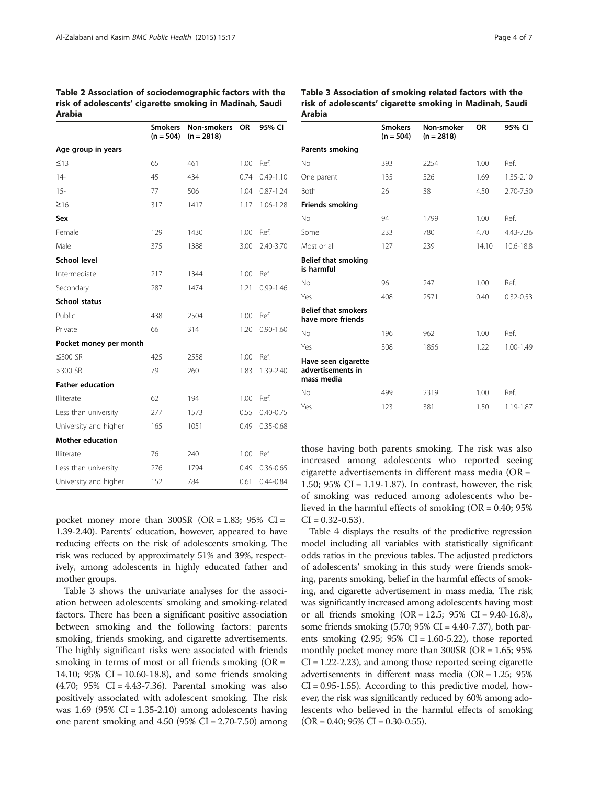<span id="page-3-0"></span>Table 2 Association of sociodemographic factors with the risk of adolescents' cigarette smoking in Madinah, Saudi Arabia

| Miawia                  |                               |                                    |      |               |
|-------------------------|-------------------------------|------------------------------------|------|---------------|
|                         | <b>Smokers</b><br>$(n = 504)$ | <b>Non-smokers</b><br>$(n = 2818)$ | OR   | 95% CI        |
| Age group in years      |                               |                                    |      |               |
| $\leq$ 13               | 65                            | 461                                | 1.00 | Ref.          |
| $14 -$                  | 45                            | 434                                | 0.74 | $0.49 - 1.10$ |
| $15 -$                  | 77                            | 506                                | 1.04 | $0.87 - 1.24$ |
| $\geq 16$               | 317                           | 1417                               | 1.17 | 1.06-1.28     |
| Sex                     |                               |                                    |      |               |
| Female                  | 129                           | 1430                               | 1.00 | Ref.          |
| Male                    | 375                           | 1388                               | 3.00 | 2.40-3.70     |
| <b>School level</b>     |                               |                                    |      |               |
| Intermediate            | 217                           | 1344                               | 1.00 | Ref.          |
| Secondary               | 287                           | 1474                               | 1.21 | $0.99 - 1.46$ |
| <b>School status</b>    |                               |                                    |      |               |
| Public                  | 438                           | 2504                               | 1.00 | Ref.          |
| Private                 | 66                            | 314                                | 1.20 | $0.90 - 1.60$ |
| Pocket money per month  |                               |                                    |      |               |
| ≤300 SR                 | 425                           | 2558                               | 1.00 | Ref.          |
| $>300$ SR               | 79                            | 260                                | 1.83 | 1.39-2.40     |
| <b>Father education</b> |                               |                                    |      |               |
| Illiterate              | 62                            | 194                                | 1.00 | Ref.          |
| Less than university    | 277                           | 1573                               | 0.55 | $0.40 - 0.75$ |
| University and higher   | 165                           | 1051                               | 0.49 | $0.35 - 0.68$ |
| <b>Mother education</b> |                               |                                    |      |               |
| Illiterate              | 76                            | 240                                | 1.00 | Ref.          |
| Less than university    | 276                           | 1794                               | 0.49 | $0.36 - 0.65$ |
| University and higher   | 152                           | 784                                | 0.61 | $0.44 - 0.84$ |

Table 3 Association of smoking related factors with the risk of adolescents' cigarette smoking in Madinah, Saudi

Arabia

Smokers  $(n = 504)$ Non-smoker  $(n = 2818)$ OR 95% CI Parents smoking No 393 2254 1.00 Ref. One parent 135 526 1.69 1.35-2.10 Both 26 38 4.50 2.70-7.50 Friends smoking No 94 1799 1.00 Ref. Some 233 780 4.70 4.43-7.36 Most or all  $127$  239 14.10 10.6-18.8 Belief that smoking is harmful No 96 247 1.00 Ref. Yes 408 2571 0.40 0.32-0.53 Belief that smokers have more friends No 196 962 1.00 Ref. Yes 308 1856 1.22 1.00-1.49 Have seen cigarette advertisements in mass media No 499 2319 1.00 Ref.

pocket money more than  $300SR$  (OR = 1.83; 95% CI = 1.39-2.40). Parents' education, however, appeared to have reducing effects on the risk of adolescents smoking. The risk was reduced by approximately 51% and 39%, respectively, among adolescents in highly educated father and mother groups.

Table 3 shows the univariate analyses for the association between adolescents' smoking and smoking-related factors. There has been a significant positive association between smoking and the following factors: parents smoking, friends smoking, and cigarette advertisements. The highly significant risks were associated with friends smoking in terms of most or all friends smoking  $(OR =$ 14.10; 95% CI = 10.60-18.8), and some friends smoking (4.70; 95% CI = 4.43-7.36). Parental smoking was also positively associated with adolescent smoking. The risk was  $1.69$  (95% CI = 1.35-2.10) among adolescents having one parent smoking and  $4.50$  (95% CI = 2.70-7.50) among

those having both parents smoking. The risk was also increased among adolescents who reported seeing cigarette advertisements in different mass media (OR = 1.50; 95% CI =  $1.19-1.87$ ). In contrast, however, the risk of smoking was reduced among adolescents who believed in the harmful effects of smoking (OR = 0.40; 95%  $CI = 0.32 - 0.53$ ).

Yes 123 381 1.50 1.19-1.87

Table [4](#page-4-0) displays the results of the predictive regression model including all variables with statistically significant odds ratios in the previous tables. The adjusted predictors of adolescents' smoking in this study were friends smoking, parents smoking, belief in the harmful effects of smoking, and cigarette advertisement in mass media. The risk was significantly increased among adolescents having most or all friends smoking  $(OR = 12.5; 95\% \text{ CI} = 9.40-16.8)$ . some friends smoking  $(5.70; 95\% \text{ CI} = 4.40-7.37)$ , both parents smoking  $(2.95; 95\% \text{ CI} = 1.60-5.22)$ , those reported monthly pocket money more than 300SR (OR = 1.65; 95% CI = 1.22-2.23), and among those reported seeing cigarette advertisements in different mass media (OR =  $1.25$ ; 95%  $CI = 0.95 - 1.55$ ). According to this predictive model, however, the risk was significantly reduced by 60% among adolescents who believed in the harmful effects of smoking  $(OR = 0.40; 95\% CI = 0.30-0.55).$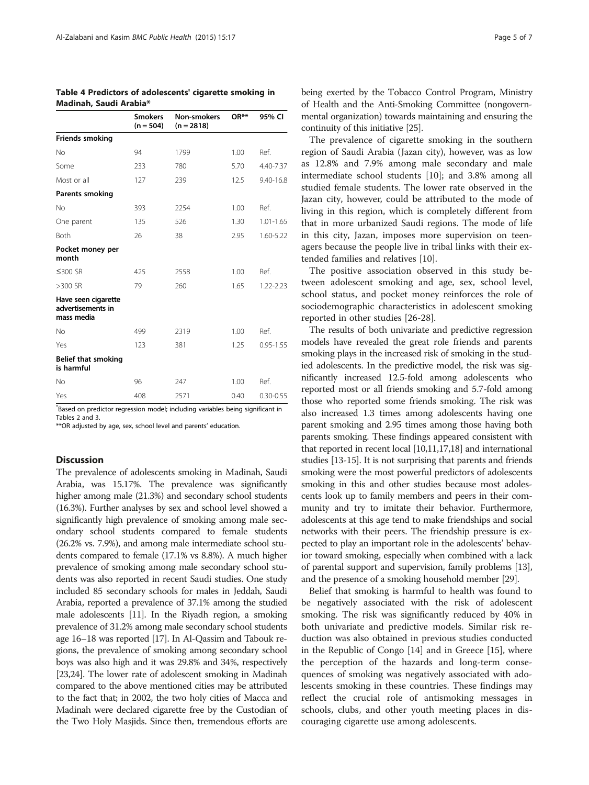|                                                        | <b>Smokers</b><br>$(n = 504)$ | Non-smokers<br>$(n = 2818)$ | $OR**$ | 95% CI        |
|--------------------------------------------------------|-------------------------------|-----------------------------|--------|---------------|
| Friends smoking                                        |                               |                             |        |               |
| No                                                     | 94                            | 1799                        | 1.00   | Ref.          |
| Some                                                   | 233                           | 780                         | 5.70   | 4.40-7.37     |
| Most or all                                            | 127                           | 239                         | 12.5   | 9.40-16.8     |
| Parents smoking                                        |                               |                             |        |               |
| No                                                     | 393                           | 2254                        | 1.00   | Ref.          |
| One parent                                             | 135                           | 526                         | 1.30   | $1.01 - 1.65$ |
| Both                                                   | 26                            | 38                          | 2.95   | 1.60-5.22     |
| Pocket money per<br>month                              |                               |                             |        |               |
| ≤300 SR                                                | 425                           | 2558                        | 1.00   | Ref.          |
| $>300$ SR                                              | 79                            | 260                         | 1.65   | $1.22 - 2.23$ |
| Have seen cigarette<br>advertisements in<br>mass media |                               |                             |        |               |
| No                                                     | 499                           | 2319                        | 1.00   | Ref.          |
| Yes                                                    | 123                           | 381                         | 1.25   | $0.95 - 1.55$ |
| <b>Belief that smoking</b><br>is harmful               |                               |                             |        |               |
| No                                                     | 96                            | 247                         | 1.00   | Ref.          |
| Yes                                                    | 408                           | 2571                        | 0.40   | $0.30 - 0.55$ |

<span id="page-4-0"></span>Table 4 Predictors of adolescents' cigarette smoking in Madinah, Saudi Arabia\*

\* Based on predictor regression model; including variables being significant in Tables [2](#page-3-0) and [3.](#page-3-0)

\*\*OR adjusted by age, sex, school level and parents' education.

# **Discussion**

The prevalence of adolescents smoking in Madinah, Saudi Arabia, was 15.17%. The prevalence was significantly higher among male (21.3%) and secondary school students (16.3%). Further analyses by sex and school level showed a significantly high prevalence of smoking among male secondary school students compared to female students (26.2% vs. 7.9%), and among male intermediate school students compared to female (17.1% vs 8.8%). A much higher prevalence of smoking among male secondary school students was also reported in recent Saudi studies. One study included 85 secondary schools for males in Jeddah, Saudi Arabia, reported a prevalence of 37.1% among the studied male adolescents [\[11\]](#page-6-0). In the Riyadh region, a smoking prevalence of 31.2% among male secondary school students age 16–18 was reported [[17](#page-6-0)]. In Al-Qassim and Tabouk regions, the prevalence of smoking among secondary school boys was also high and it was 29.8% and 34%, respectively [[23,24\]](#page-6-0). The lower rate of adolescent smoking in Madinah compared to the above mentioned cities may be attributed to the fact that; in 2002, the two holy cities of Macca and Madinah were declared cigarette free by the Custodian of the Two Holy Masjids. Since then, tremendous efforts are being exerted by the Tobacco Control Program, Ministry of Health and the Anti-Smoking Committee (nongovernmental organization) towards maintaining and ensuring the continuity of this initiative [\[25\]](#page-6-0).

The prevalence of cigarette smoking in the southern region of Saudi Arabia (Jazan city), however, was as low as 12.8% and 7.9% among male secondary and male intermediate school students [[10\]](#page-6-0); and 3.8% among all studied female students. The lower rate observed in the Jazan city, however, could be attributed to the mode of living in this region, which is completely different from that in more urbanized Saudi regions. The mode of life in this city, Jazan, imposes more supervision on teenagers because the people live in tribal links with their extended families and relatives [\[10](#page-6-0)].

The positive association observed in this study between adolescent smoking and age, sex, school level, school status, and pocket money reinforces the role of sociodemographic characteristics in adolescent smoking reported in other studies [\[26](#page-6-0)-[28\]](#page-6-0).

The results of both univariate and predictive regression models have revealed the great role friends and parents smoking plays in the increased risk of smoking in the studied adolescents. In the predictive model, the risk was significantly increased 12.5-fold among adolescents who reported most or all friends smoking and 5.7-fold among those who reported some friends smoking. The risk was also increased 1.3 times among adolescents having one parent smoking and 2.95 times among those having both parents smoking. These findings appeared consistent with that reported in recent local [[10,11,17,18](#page-6-0)] and international studies [[13](#page-6-0)-[15](#page-6-0)]. It is not surprising that parents and friends smoking were the most powerful predictors of adolescents smoking in this and other studies because most adolescents look up to family members and peers in their community and try to imitate their behavior. Furthermore, adolescents at this age tend to make friendships and social networks with their peers. The friendship pressure is expected to play an important role in the adolescents' behavior toward smoking, especially when combined with a lack of parental support and supervision, family problems [[13](#page-6-0)], and the presence of a smoking household member [[29](#page-6-0)].

Belief that smoking is harmful to health was found to be negatively associated with the risk of adolescent smoking. The risk was significantly reduced by 40% in both univariate and predictive models. Similar risk reduction was also obtained in previous studies conducted in the Republic of Congo [\[14\]](#page-6-0) and in Greece [[15](#page-6-0)], where the perception of the hazards and long-term consequences of smoking was negatively associated with adolescents smoking in these countries. These findings may reflect the crucial role of antismoking messages in schools, clubs, and other youth meeting places in discouraging cigarette use among adolescents.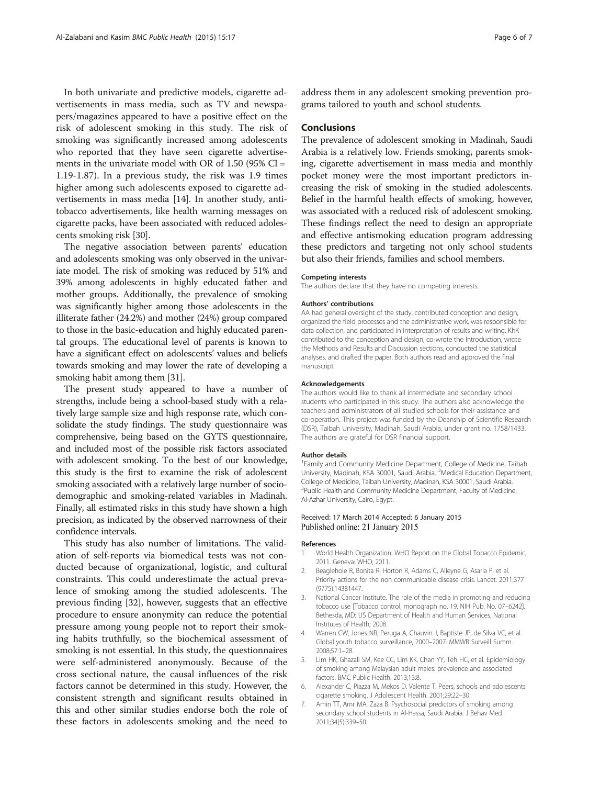<span id="page-5-0"></span>In both univariate and predictive models, cigarette advertisements in mass media, such as TV and newspapers/magazines appeared to have a positive effect on the risk of adolescent smoking in this study. The risk of smoking was significantly increased among adolescents who reported that they have seen cigarette advertisements in the univariate model with OR of  $1.50$  (95% CI = 1.19-1.87). In a previous study, the risk was 1.9 times higher among such adolescents exposed to cigarette advertisements in mass media [\[14\]](#page-6-0). In another study, antitobacco advertisements, like health warning messages on cigarette packs, have been associated with reduced adolescents smoking risk [\[30\]](#page-6-0).

The negative association between parents' education and adolescents smoking was only observed in the univariate model. The risk of smoking was reduced by 51% and 39% among adolescents in highly educated father and mother groups. Additionally, the prevalence of smoking was significantly higher among those adolescents in the illiterate father (24.2%) and mother (24%) group compared to those in the basic-education and highly educated parental groups. The educational level of parents is known to have a significant effect on adolescents' values and beliefs towards smoking and may lower the rate of developing a smoking habit among them [\[31\]](#page-6-0).

The present study appeared to have a number of strengths, include being a school-based study with a relatively large sample size and high response rate, which consolidate the study findings. The study questionnaire was comprehensive, being based on the GYTS questionnaire, and included most of the possible risk factors associated with adolescent smoking. To the best of our knowledge, this study is the first to examine the risk of adolescent smoking associated with a relatively large number of sociodemographic and smoking-related variables in Madinah. Finally, all estimated risks in this study have shown a high precision, as indicated by the observed narrowness of their confidence intervals.

This study has also number of limitations. The validation of self-reports via biomedical tests was not conducted because of organizational, logistic, and cultural constraints. This could underestimate the actual prevalence of smoking among the studied adolescents. The previous finding [[32\]](#page-6-0), however, suggests that an effective procedure to ensure anonymity can reduce the potential pressure among young people not to report their smoking habits truthfully, so the biochemical assessment of smoking is not essential. In this study, the questionnaires were self-administered anonymously. Because of the cross sectional nature, the causal influences of the risk factors cannot be determined in this study. However, the consistent strength and significant results obtained in this and other similar studies endorse both the role of these factors in adolescents smoking and the need to

address them in any adolescent smoking prevention programs tailored to youth and school students.

# **Conclusions**

The prevalence of adolescent smoking in Madinah, Saudi Arabia is a relatively low. Friends smoking, parents smoking, cigarette advertisement in mass media and monthly pocket money were the most important predictors increasing the risk of smoking in the studied adolescents. Belief in the harmful health effects of smoking, however, was associated with a reduced risk of adolescent smoking. These findings reflect the need to design an appropriate and effective antismoking education program addressing these predictors and targeting not only school students but also their friends, families and school members.

#### Competing interests

The authors declare that they have no competing interests.

#### Authors' contributions

AA had general oversight of the study, contributed conception and design, organized the field processes and the administrative work, was responsible for data collection, and participated in interpretation of results and writing. KhK contributed to the conception and design, co-wrote the Introduction, wrote the Methods and Results and Discussion sections, conducted the statistical analyses, and drafted the paper. Both authors read and approved the final manuscript.

#### Acknowledgements

The authors would like to thank all intermediate and secondary school students who participated in this study. The authors also acknowledge the teachers and administrators of all studied schools for their assistance and co-operation. This project was funded by the Deanship of Scientific Research (DSR), Taibah University, Madinah, Saudi Arabia, under grant no. 1758/1433. The authors are grateful for DSR financial support.

#### Author details

<sup>1</sup> Family and Community Medicine Department, College of Medicine, Taibah University, Madinah, KSA 30001, Saudi Arabia. <sup>2</sup>Medical Education Department College of Medicine, Taibah University, Madinah, KSA 30001, Saudi Arabia. <sup>3</sup>Public Health and Community Medicine Department, Faculty of Medicine Al-Azhar University, Cairo, Egypt.

#### Received: 17 March 2014 Accepted: 6 January 2015 Published online: 21 January 2015

#### References

- 1. World Health Organization. WHO Report on the Global Tobacco Epidemic, 2011. Geneva: WHO; 2011.
- 2. Beaglehole R, Bonita R, Horton R, Adams C, Alleyne G, Asaria P, et al. Priority actions for the non communicable disease crisis. Lancet. 2011;377 (9775):14381447.
- 3. National Cancer Institute. The role of the media in promoting and reducing tobacco use [Tobacco control, monograph no. 19, NIH Pub. No. 07–6242]. Bethesda, MD: US Department of Health and Human Services, National Institutes of Health; 2008.
- 4. Warren CW, Jones NR, Peruga A, Chauvin J, Baptiste JP, de Silva VC, et al. Global youth tobacco surveillance, 2000–2007. MMWR Surveill Summ. 2008;57:1–28.
- 5. Lim HK, Ghazali SM, Kee CC, Lim KK, Chan YY, Teh HC, et al. Epidemiology of smoking among Malaysian adult males: prevalence and associated factors. BMC Public Health. 2013;13:8.
- 6. Alexander C, Piazza M, Mekos D, Valente T. Peers, schools and adolescents cigarette smoking. J Adolescent Health. 2001;29:22–30.
- 7. Amin TT, Amr MA, Zaza B. Psychosocial predictors of smoking among secondary school students in Al-Hassa, Saudi Arabia. J Behav Med. 2011;34(5):339–50.